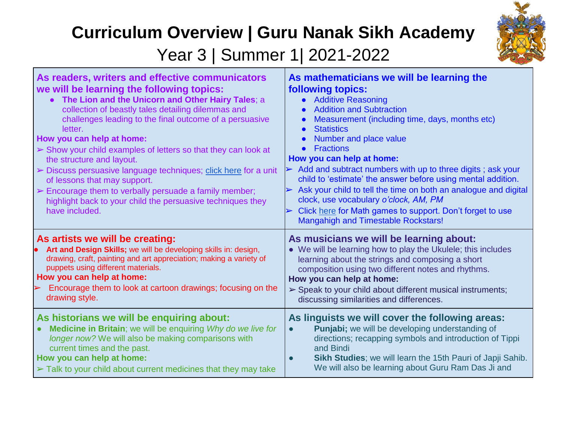## **Curriculum Overview | Guru Nanak Sikh Academy**



Year 3 | Summer 1| 2021-2022

| As readers, writers and effective communicators<br>we will be learning the following topics:<br>The Lion and the Unicorn and Other Hairy Tales; a<br>collection of beastly tales detailing dilemmas and<br>challenges leading to the final outcome of a persuasive<br>letter.<br>How you can help at home:<br>$\triangleright$ Show your child examples of letters so that they can look at<br>the structure and layout.<br>> Discuss persuasive language techniques; click here for a unit<br>of lessons that may support.<br>$\triangleright$ Encourage them to verbally persuade a family member;<br>highlight back to your child the persuasive techniques they<br>have included. | As mathematicians we will be learning the<br><b>following topics:</b><br><b>Additive Reasoning</b><br>$\bullet$<br><b>Addition and Subtraction</b><br>$\bullet$<br>Measurement (including time, days, months etc)<br>$\bullet$<br><b>Statistics</b><br>$\bullet$<br>Number and place value<br><b>Fractions</b><br>How you can help at home:<br>$\triangleright$ Add and subtract numbers with up to three digits; ask your<br>child to 'estimate' the answer before using mental addition.<br>Ask your child to tell the time on both an analogue and digital<br>$\blacktriangleleft$<br>clock, use vocabulary o'clock, AM, PM<br>Click here for Math games to support. Don't forget to use<br>$\blacktriangleright$<br>Mangahigh and Timestable Rockstars! |
|---------------------------------------------------------------------------------------------------------------------------------------------------------------------------------------------------------------------------------------------------------------------------------------------------------------------------------------------------------------------------------------------------------------------------------------------------------------------------------------------------------------------------------------------------------------------------------------------------------------------------------------------------------------------------------------|-------------------------------------------------------------------------------------------------------------------------------------------------------------------------------------------------------------------------------------------------------------------------------------------------------------------------------------------------------------------------------------------------------------------------------------------------------------------------------------------------------------------------------------------------------------------------------------------------------------------------------------------------------------------------------------------------------------------------------------------------------------|
| As artists we will be creating:                                                                                                                                                                                                                                                                                                                                                                                                                                                                                                                                                                                                                                                       | As musicians we will be learning about:                                                                                                                                                                                                                                                                                                                                                                                                                                                                                                                                                                                                                                                                                                                     |
| Art and Design Skills; we will be developing skills in: design,                                                                                                                                                                                                                                                                                                                                                                                                                                                                                                                                                                                                                       | • We will be learning how to play the Ukulele; this includes                                                                                                                                                                                                                                                                                                                                                                                                                                                                                                                                                                                                                                                                                                |
| drawing, craft, painting and art appreciation; making a variety of                                                                                                                                                                                                                                                                                                                                                                                                                                                                                                                                                                                                                    | learning about the strings and composing a short                                                                                                                                                                                                                                                                                                                                                                                                                                                                                                                                                                                                                                                                                                            |
| puppets using different materials.                                                                                                                                                                                                                                                                                                                                                                                                                                                                                                                                                                                                                                                    | composition using two different notes and rhythms.                                                                                                                                                                                                                                                                                                                                                                                                                                                                                                                                                                                                                                                                                                          |
| How you can help at home:                                                                                                                                                                                                                                                                                                                                                                                                                                                                                                                                                                                                                                                             | How you can help at home:                                                                                                                                                                                                                                                                                                                                                                                                                                                                                                                                                                                                                                                                                                                                   |
| Encourage them to look at cartoon drawings; focusing on the                                                                                                                                                                                                                                                                                                                                                                                                                                                                                                                                                                                                                           | $\triangleright$ Speak to your child about different musical instruments;                                                                                                                                                                                                                                                                                                                                                                                                                                                                                                                                                                                                                                                                                   |
| drawing style.                                                                                                                                                                                                                                                                                                                                                                                                                                                                                                                                                                                                                                                                        | discussing similarities and differences.                                                                                                                                                                                                                                                                                                                                                                                                                                                                                                                                                                                                                                                                                                                    |
| As historians we will be enquiring about:                                                                                                                                                                                                                                                                                                                                                                                                                                                                                                                                                                                                                                             | As linguists we will cover the following areas:                                                                                                                                                                                                                                                                                                                                                                                                                                                                                                                                                                                                                                                                                                             |
| Medicine in Britain; we will be enquiring Why do we live for                                                                                                                                                                                                                                                                                                                                                                                                                                                                                                                                                                                                                          | Punjabi; we will be developing understanding of                                                                                                                                                                                                                                                                                                                                                                                                                                                                                                                                                                                                                                                                                                             |
| longer now? We will also be making comparisons with                                                                                                                                                                                                                                                                                                                                                                                                                                                                                                                                                                                                                                   | directions; recapping symbols and introduction of Tippi                                                                                                                                                                                                                                                                                                                                                                                                                                                                                                                                                                                                                                                                                                     |
| current times and the past.                                                                                                                                                                                                                                                                                                                                                                                                                                                                                                                                                                                                                                                           | and Bindi                                                                                                                                                                                                                                                                                                                                                                                                                                                                                                                                                                                                                                                                                                                                                   |
| How you can help at home:                                                                                                                                                                                                                                                                                                                                                                                                                                                                                                                                                                                                                                                             | Sikh Studies; we will learn the 15th Pauri of Japji Sahib.                                                                                                                                                                                                                                                                                                                                                                                                                                                                                                                                                                                                                                                                                                  |
| $\triangleright$ Talk to your child about current medicines that they may take                                                                                                                                                                                                                                                                                                                                                                                                                                                                                                                                                                                                        | We will also be learning about Guru Ram Das Ji and                                                                                                                                                                                                                                                                                                                                                                                                                                                                                                                                                                                                                                                                                                          |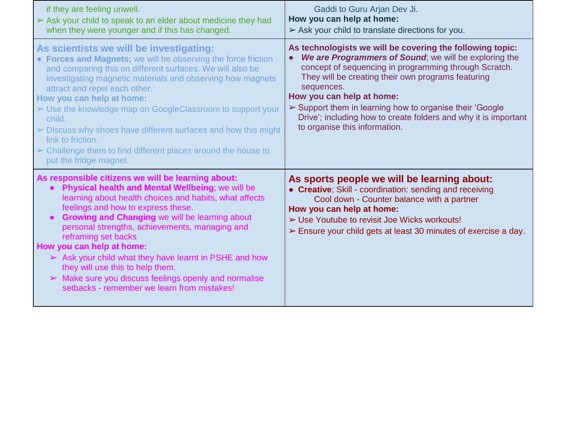| if they are feeling unwell.<br>Sark your child to speak to an elder about medicine they had<br>when they were younger and if this has changed.                                                                                                                                                                                                                                                                                                                                                                                                                                                            | Gaddi to Guru Arjan Dev Ji.<br>How you can help at home:<br>$\triangleright$ Ask your child to translate directions for you.                                                                                                                                                                                                                                                                                                                |
|-----------------------------------------------------------------------------------------------------------------------------------------------------------------------------------------------------------------------------------------------------------------------------------------------------------------------------------------------------------------------------------------------------------------------------------------------------------------------------------------------------------------------------------------------------------------------------------------------------------|---------------------------------------------------------------------------------------------------------------------------------------------------------------------------------------------------------------------------------------------------------------------------------------------------------------------------------------------------------------------------------------------------------------------------------------------|
| As scientists we will be investigating:<br>• Forces and Magnets; we will be observing the force friction<br>and comparing this on different surfaces. We will also be<br>investigating magnetic materials and observing how magnets<br>attract and repel each other.<br>How you can help at home:<br>► Use the knowledge map on GoogleClassroom to support your<br>child.<br>$\triangleright$ Discuss why shoes have different surfaces and how this might<br>link to friction.<br>$\triangleright$ Challenge them to find different places around the house to<br>put the fridge magnet.                 | As technologists we will be covering the following topic:<br>We are Programmers of Sound; we will be exploring the<br>concept of sequencing in programming through Scratch.<br>They will be creating their own programs featuring<br>sequences.<br>How you can help at home:<br>Support them in learning how to organise their 'Google'<br>Drive'; including how to create folders and why it is important<br>to organise this information. |
| As responsible citizens we will be learning about:<br>• Physical health and Mental Wellbeing; we will be<br>learning about health choices and habits, what affects<br>feelings and how to express these.<br><b>Growing and Changing we will be learning about</b><br>$\bullet$<br>personal strengths, achievements, managing and<br>reframing set backs<br>How you can help at home:<br>$\triangleright$ Ask your child what they have learnt in PSHE and how<br>they will use this to help them.<br>> Make sure you discuss feelings openly and normalise<br>setbacks - remember we learn from mistakes! | As sports people we will be learning about:<br>• Creative; Skill - coordination: sending and receiving<br>Cool down - Counter balance with a partner<br>How you can help at home:<br>> Use Youtube to revisit Joe Wicks workouts!<br>$\triangleright$ Ensure your child gets at least 30 minutes of exercise a day.                                                                                                                         |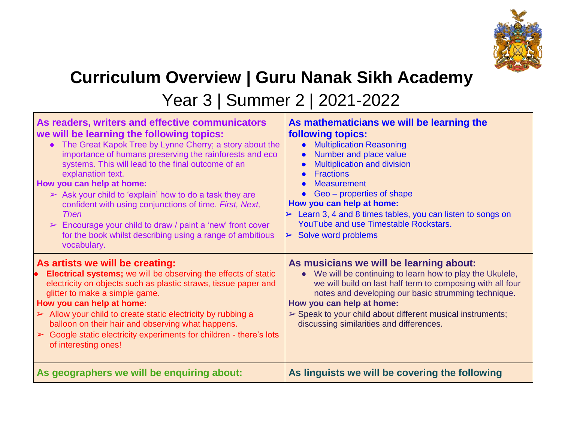

## **Curriculum Overview | Guru Nanak Sikh Academy**

Year 3 | Summer 2 | 2021-2022

| As readers, writers and effective communicators<br>we will be learning the following topics:<br>• The Great Kapok Tree by Lynne Cherry; a story about the<br>importance of humans preserving the rainforests and eco<br>systems. This will lead to the final outcome of an<br>explanation text.<br>How you can help at home:<br>$\triangleright$ Ask your child to 'explain' how to do a task they are<br>confident with using conjunctions of time. First, Next,<br>Then<br>$\triangleright$ Encourage your child to draw / paint a 'new' front cover<br>for the book whilst describing using a range of ambitious<br>vocabulary. | As mathematicians we will be learning the<br><b>following topics:</b><br><b>Multiplication Reasoning</b><br>$\bullet$<br>Number and place value<br>$\bullet$<br><b>Multiplication and division</b><br><b>Fractions</b><br>$\bullet$<br><b>Measurement</b><br>Geo – properties of shape<br>How you can help at home:<br>$\triangleright$ Learn 3, 4 and 8 times tables, you can listen to songs on<br>YouTube and use Timestable Rockstars.<br>Solve word problems<br>$\blacktriangleleft$ |
|------------------------------------------------------------------------------------------------------------------------------------------------------------------------------------------------------------------------------------------------------------------------------------------------------------------------------------------------------------------------------------------------------------------------------------------------------------------------------------------------------------------------------------------------------------------------------------------------------------------------------------|-------------------------------------------------------------------------------------------------------------------------------------------------------------------------------------------------------------------------------------------------------------------------------------------------------------------------------------------------------------------------------------------------------------------------------------------------------------------------------------------|
| As artists we will be creating:<br><b>Electrical systems;</b> we will be observing the effects of static<br>$\bullet$<br>electricity on objects such as plastic straws, tissue paper and<br>glitter to make a simple game.<br>How you can help at home:<br>$\triangleright$ Allow your child to create static electricity by rubbing a<br>balloon on their hair and observing what happens.<br>$\triangleright$ Google static electricity experiments for children - there's lots<br>of interesting ones!                                                                                                                          | As musicians we will be learning about:<br>We will be continuing to learn how to play the Ukulele,<br>$\bullet$<br>we will build on last half term to composing with all four<br>notes and developing our basic strumming technique.<br>How you can help at home:<br>$\triangleright$ Speak to your child about different musical instruments;<br>discussing similarities and differences.                                                                                                |
| As geographers we will be enquiring about:                                                                                                                                                                                                                                                                                                                                                                                                                                                                                                                                                                                         | As linguists we will be covering the following                                                                                                                                                                                                                                                                                                                                                                                                                                            |